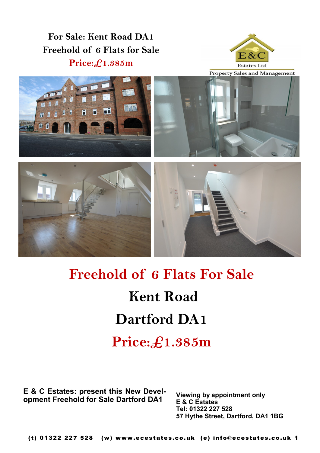**For Sale: Kent Road DA1 Freehold of 6 Flats for Sale Price:£1.385m**











## **Freehold of 6 Flats For Sale Kent Road Dartford DA1 Price:£1.385m**

**E & C Estates: present this New Development Freehold for Sale Dartford DA1**

**Viewing by appointment only E & C Estates Tel: 01322 227 528 57 Hythe Street, Dartford, DA1 1BG**

(t) 01322 227 528 (w) www.ecestates.co.uk (e) info@ecestates.co.uk 1